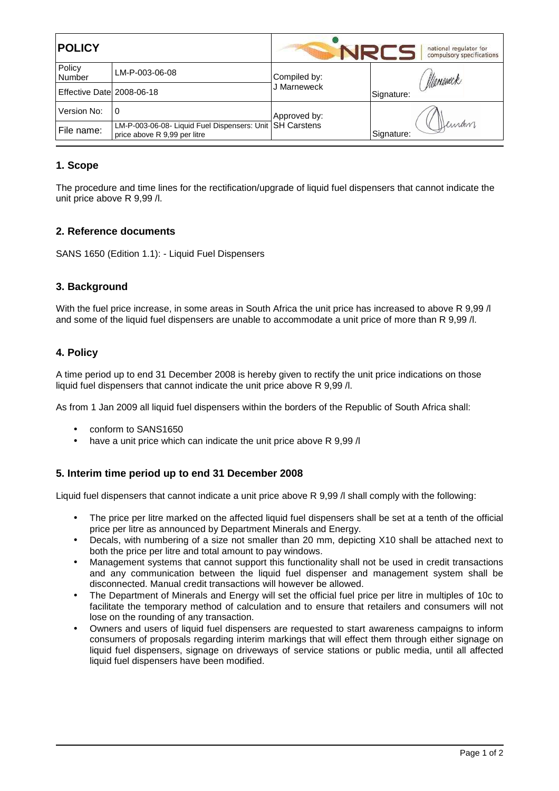| <b>POLICY</b>              |                                                                                            | national regulator for<br>compulsory specifications |                     |
|----------------------------|--------------------------------------------------------------------------------------------|-----------------------------------------------------|---------------------|
| Policy<br>Number           | LM-P-003-06-08                                                                             | Compiled by:                                        | Manemeck            |
| Effective Datel 2008-06-18 |                                                                                            | J Marneweck                                         | Signature:          |
| Version No:                | 0                                                                                          | Approved by:                                        |                     |
| File name:                 | LM-P-003-06-08- Liquid Fuel Dispensers: Unit   SH Carstens<br>price above R 9,99 per litre |                                                     | Kuran<br>Signature: |

# **1. Scope**

The procedure and time lines for the rectification/upgrade of liquid fuel dispensers that cannot indicate the unit price above R 9,99 /l.

### **2. Reference documents**

SANS 1650 (Edition 1.1): - Liquid Fuel Dispensers

### **3. Background**

With the fuel price increase, in some areas in South Africa the unit price has increased to above R 9,99 /l and some of the liquid fuel dispensers are unable to accommodate a unit price of more than R 9,99 /l.

### **4. Policy**

A time period up to end 31 December 2008 is hereby given to rectify the unit price indications on those liquid fuel dispensers that cannot indicate the unit price above R 9,99 /l.

As from 1 Jan 2009 all liquid fuel dispensers within the borders of the Republic of South Africa shall:

- conform to SANS1650
- have a unit price which can indicate the unit price above R 9.99 /l

### **5. Interim time period up to end 31 December 2008**

Liquid fuel dispensers that cannot indicate a unit price above R 9,99 / shall comply with the following:

- The price per litre marked on the affected liquid fuel dispensers shall be set at a tenth of the official price per litre as announced by Department Minerals and Energy.
- Decals, with numbering of a size not smaller than 20 mm, depicting X10 shall be attached next to both the price per litre and total amount to pay windows.
- Management systems that cannot support this functionality shall not be used in credit transactions and any communication between the liquid fuel dispenser and management system shall be disconnected. Manual credit transactions will however be allowed.
- The Department of Minerals and Energy will set the official fuel price per litre in multiples of 10c to facilitate the temporary method of calculation and to ensure that retailers and consumers will not lose on the rounding of any transaction.
- Owners and users of liquid fuel dispensers are requested to start awareness campaigns to inform consumers of proposals regarding interim markings that will effect them through either signage on liquid fuel dispensers, signage on driveways of service stations or public media, until all affected liquid fuel dispensers have been modified.